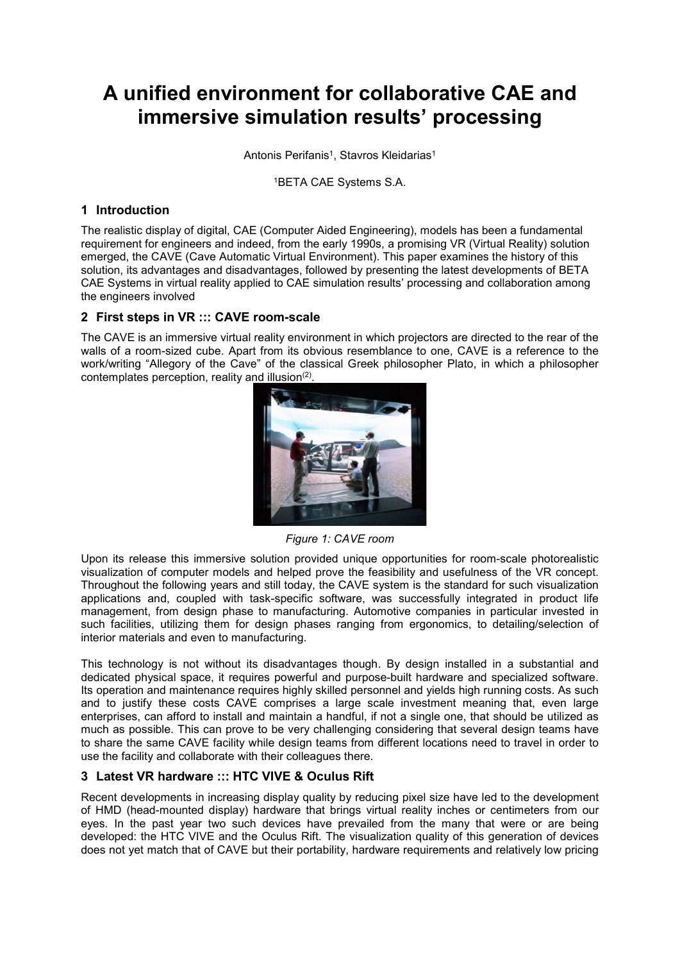# **A unified environment for collaborative CAE and immersive simulation results' processing**

Antonis Perifanis<sup>1</sup>, Stavros Kleidarias<sup>1</sup>

1BETA CAE Systems S.A.

# **1 Introduction**

The realistic display of digital, CAE (Computer Aided Engineering), models has been a fundamental requirement for engineers and indeed, from the early 1990s, a promising VR (Virtual Reality) solution emerged, the CAVE (Cave Automatic Virtual Environment). This paper examines the history of this solution, its advantages and disadvantages, followed by presenting the latest developments of BETA CAE Systems in virtual reality applied to CAE simulation results' processing and collaboration among the engineers involved

## **2 First steps in VR ::: CAVE room-scale**

The CAVE is an immersive virtual reality environment in which projectors are directed to the rear of the walls of a room-sized cube. Apart from its obvious resemblance to one, CAVE is a reference to the work/writing "Allegory of the Cave" of the classical Greek philosopher Plato, in which a philosopher contemplates perception, reality and illusion $(2)$ .



*Figure 1: CAVE room*

Upon its release this immersive solution provided unique opportunities for room-scale photorealistic visualization of computer models and helped prove the feasibility and usefulness of the VR concept. Throughout the following years and still today, the CAVE system is the standard for such visualization applications and, coupled with task-specific software, was successfully integrated in product life management, from design phase to manufacturing. Automotive companies in particular invested in such facilities, utilizing them for design phases ranging from ergonomics, to detailing/selection of interior materials and even to manufacturing.

This technology is not without its disadvantages though. By design installed in a substantial and dedicated physical space, it requires powerful and purpose-built hardware and specialized software. Its operation and maintenance requires highly skilled personnel and yields high running costs. As such and to justify these costs CAVE comprises a large scale investment meaning that, even large enterprises, can afford to install and maintain a handful, if not a single one, that should be utilized as much as possible. This can prove to be very challenging considering that several design teams have to share the same CAVE facility while design teams from different locations need to travel in order to use the facility and collaborate with their colleagues there.

# **3 Latest VR hardware ::: HTC VIVE & Oculus Rift**

Recent developments in increasing display quality by reducing pixel size have led to the development of HMD (head-mounted display) hardware that brings virtual reality inches or centimeters from our eyes. In the past year two such devices have prevailed from the many that were or are being developed: the HTC VIVE and the Oculus Rift. The visualization quality of this generation of devices does not yet match that of CAVE but their portability, hardware requirements and relatively low pricing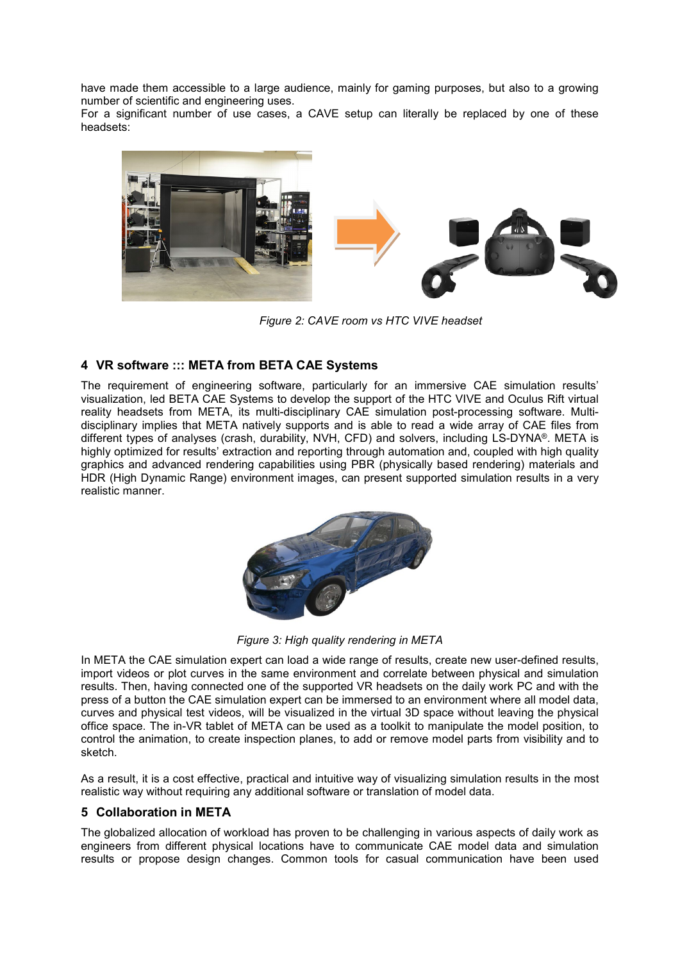have made them accessible to a large audience, mainly for gaming purposes, but also to a growing number of scientific and engineering uses.

For a significant number of use cases, a CAVE setup can literally be replaced by one of these headsets:



*Figure 2: CAVE room vs HTC VIVE headset*

# **4 VR software ::: META from BETA CAE Systems**

The requirement of engineering software, particularly for an immersive CAE simulation results' visualization, led BETA CAE Systems to develop the support of the HTC VIVE and Oculus Rift virtual reality headsets from META, its multi-disciplinary CAE simulation post-processing software. Multidisciplinary implies that META natively supports and is able to read a wide array of CAE files from different types of analyses (crash, durability, NVH, CFD) and solvers, including LS-DYNA®. META is highly optimized for results' extraction and reporting through automation and, coupled with high quality graphics and advanced rendering capabilities using PBR (physically based rendering) materials and HDR (High Dynamic Range) environment images, can present supported simulation results in a very realistic manner.



*Figure 3: High quality rendering in META*

In META the CAE simulation expert can load a wide range of results, create new user-defined results, import videos or plot curves in the same environment and correlate between physical and simulation results. Then, having connected one of the supported VR headsets on the daily work PC and with the press of a button the CAE simulation expert can be immersed to an environment where all model data, curves and physical test videos, will be visualized in the virtual 3D space without leaving the physical office space. The in-VR tablet of META can be used as a toolkit to manipulate the model position, to control the animation, to create inspection planes, to add or remove model parts from visibility and to sketch.

As a result, it is a cost effective, practical and intuitive way of visualizing simulation results in the most realistic way without requiring any additional software or translation of model data.

# **5 Collaboration in META**

The globalized allocation of workload has proven to be challenging in various aspects of daily work as engineers from different physical locations have to communicate CAE model data and simulation results or propose design changes. Common tools for casual communication have been used